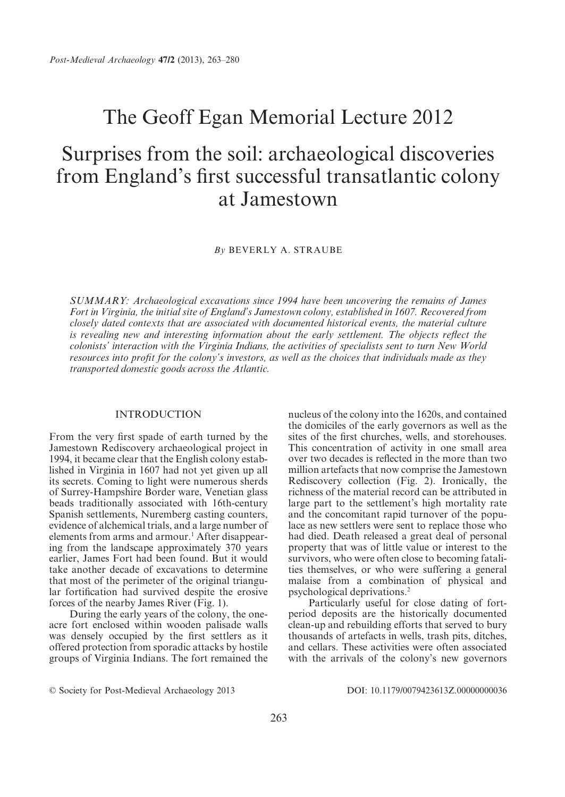# The Geoff Egan Memorial Lecture 2012

# Surprises from the soil: archaeological discoveries from England's first successful transatlantic colony at Jamestown

*By* BEVERLY A. STRAUBE

*SUMMARY: Archaeological excavations since 1994 have been uncovering the remains of James Fort in Virginia, the initial site of England's Jamestown colony, established in 1607. Recovered from closely dated contexts that are associated with documented historical events, the material culture is revealing new and interesting information about the early settlement. The objects reflect the colonists' interaction with the Virginia Indians, the activities of specialists sent to turn New World resources into profit for the colony's investors, as well as the choices that individuals made as they transported domestic goods across the Atlantic.*

#### INTRODUCTION

From the very first spade of earth turned by the Jamestown Rediscovery archaeological project in 1994, it became clear that the English colony established in Virginia in 1607 had not yet given up all its secrets. Coming to light were numerous sherds of Surrey-Hampshire Border ware, Venetian glass beads traditionally associated with 16th-century Spanish settlements, Nuremberg casting counters, evidence of alchemical trials, and a large number of elements from arms and armour.<sup>1</sup> After disappearing from the landscape approximately 370 years earlier, James Fort had been found. But it would take another decade of excavations to determine that most of the perimeter of the original triangular fortification had survived despite the erosive forces of the nearby James River (Fig. 1).

During the early years of the colony, the oneacre fort enclosed within wooden palisade walls was densely occupied by the first settlers as it offered protection from sporadic attacks by hostile groups of Virginia Indians. The fort remained the nucleus of the colony into the 1620s, and contained the domiciles of the early governors as well as the sites of the first churches, wells, and storehouses. This concentration of activity in one small area over two decades is reflected in the more than two million artefacts that now comprise the Jamestown Rediscovery collection (Fig. 2). Ironically, the richness of the material record can be attributed in large part to the settlement's high mortality rate and the concomitant rapid turnover of the populace as new settlers were sent to replace those who had died. Death released a great deal of personal property that was of little value or interest to the survivors, who were often close to becoming fatalities themselves, or who were suffering a general malaise from a combination of physical and psychological deprivations.2

Particularly useful for close dating of fortperiod deposits are the historically documented clean-up and rebuilding efforts that served to bury thousands of artefacts in wells, trash pits, ditches, and cellars. These activities were often associated with the arrivals of the colony's new governors

<sup>©</sup> Society for Post-Medieval Archaeology 2013 DOI: 10.1179/0079423613Z.00000000036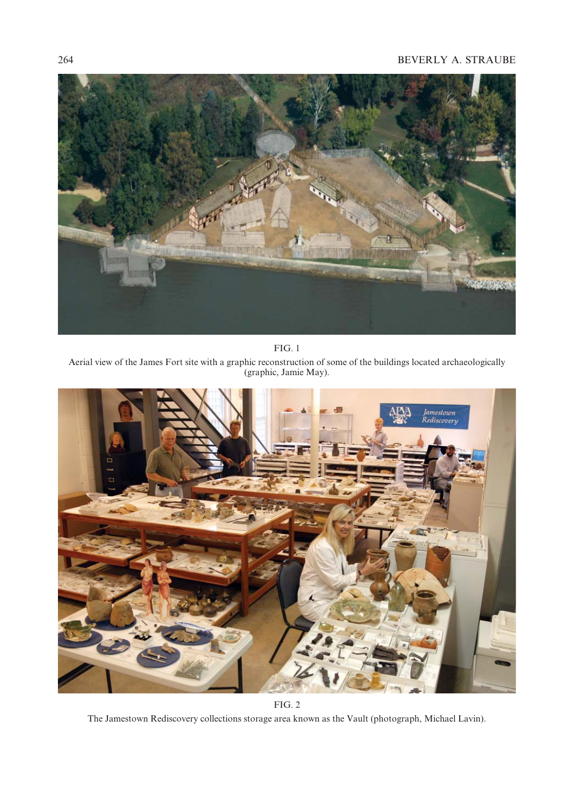# 264 BEVERLY A. STRAUBE



FIG. 1

Aerial view of the James Fort site with a graphic reconstruction of some of the buildings located archaeologically (graphic, Jamie May).



FIG. 2 The Jamestown Rediscovery collections storage area known as the Vault (photograph, Michael Lavin).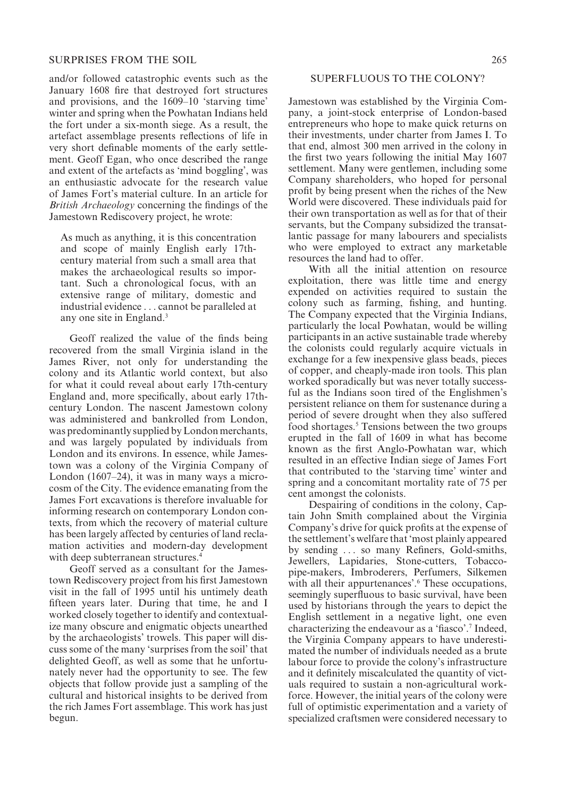and/or followed catastrophic events such as the January 1608 fire that destroyed fort structures and provisions, and the 1609–10 'starving time' winter and spring when the Powhatan Indians held the fort under a six-month siege. As a result, the artefact assemblage presents reflections of life in very short definable moments of the early settlement. Geoff Egan, who once described the range and extent of the artefacts as 'mind boggling', was an enthusiastic advocate for the research value of James Fort's material culture. In an article for *British Archaeology* concerning the findings of the Jamestown Rediscovery project, he wrote:

As much as anything, it is this concentration and scope of mainly English early 17thcentury material from such a small area that makes the archaeological results so important. Such a chronological focus, with an extensive range of military, domestic and industrial evidence . . . cannot be paralleled at any one site in England.3

Geoff realized the value of the finds being recovered from the small Virginia island in the James River, not only for understanding the colony and its Atlantic world context, but also for what it could reveal about early 17th-century England and, more specifically, about early 17thcentury London. The nascent Jamestown colony was administered and bankrolled from London, was predominantly supplied by London merchants, and was largely populated by individuals from London and its environs. In essence, while Jamestown was a colony of the Virginia Company of London (1607–24), it was in many ways a microcosm of the City. The evidence emanating from the James Fort excavations is therefore invaluable for informing research on contemporary London contexts, from which the recovery of material culture has been largely affected by centuries of land reclamation activities and modern-day development with deep subterranean structures.<sup>4</sup>

Geoff served as a consultant for the Jamestown Rediscovery project from his first Jamestown visit in the fall of 1995 until his untimely death fifteen years later. During that time, he and I worked closely together to identify and contextualize many obscure and enigmatic objects unearthed by the archaeologists' trowels. This paper will discuss some of the many 'surprises from the soil' that delighted Geoff, as well as some that he unfortunately never had the opportunity to see. The few objects that follow provide just a sampling of the cultural and historical insights to be derived from the rich James Fort assemblage. This work has just begun.

### SUPERFLUOUS TO THE COLONY?

Jamestown was established by the Virginia Company, a joint-stock enterprise of London-based entrepreneurs who hope to make quick returns on their investments, under charter from James I. To that end, almost 300 men arrived in the colony in the first two years following the initial May 1607 settlement. Many were gentlemen, including some Company shareholders, who hoped for personal profit by being present when the riches of the New World were discovered. These individuals paid for their own transportation as well as for that of their servants, but the Company subsidized the transatlantic passage for many labourers and specialists who were employed to extract any marketable resources the land had to offer.

With all the initial attention on resource exploitation, there was little time and energy expended on activities required to sustain the colony such as farming, fishing, and hunting. The Company expected that the Virginia Indians, particularly the local Powhatan, would be willing participants in an active sustainable trade whereby the colonists could regularly acquire victuals in exchange for a few inexpensive glass beads, pieces of copper, and cheaply-made iron tools. This plan worked sporadically but was never totally successful as the Indians soon tired of the Englishmen's persistent reliance on them for sustenance during a period of severe drought when they also suffered food shortages.<sup>5</sup> Tensions between the two groups erupted in the fall of 1609 in what has become known as the first Anglo-Powhatan war, which resulted in an effective Indian siege of James Fort that contributed to the 'starving time' winter and spring and a concomitant mortality rate of 75 per cent amongst the colonists.

Despairing of conditions in the colony, Captain John Smith complained about the Virginia Company's drive for quick profits at the expense of the settlement's welfare that 'most plainly appeared by sending ... so many Refiners, Gold-smiths, Jewellers, Lapidaries, Stone-cutters, Tobaccopipe-makers, Imbroderers, Perfumers, Silkemen with all their appurtenances'.<sup>6</sup> These occupations, seemingly superfluous to basic survival, have been used by historians through the years to depict the English settlement in a negative light, one even characterizing the endeavour as a 'fiasco'.<sup>7</sup> Indeed, the Virginia Company appears to have underestimated the number of individuals needed as a brute labour force to provide the colony's infrastructure and it definitely miscalculated the quantity of victuals required to sustain a non-agricultural workforce. However, the initial years of the colony were full of optimistic experimentation and a variety of specialized craftsmen were considered necessary to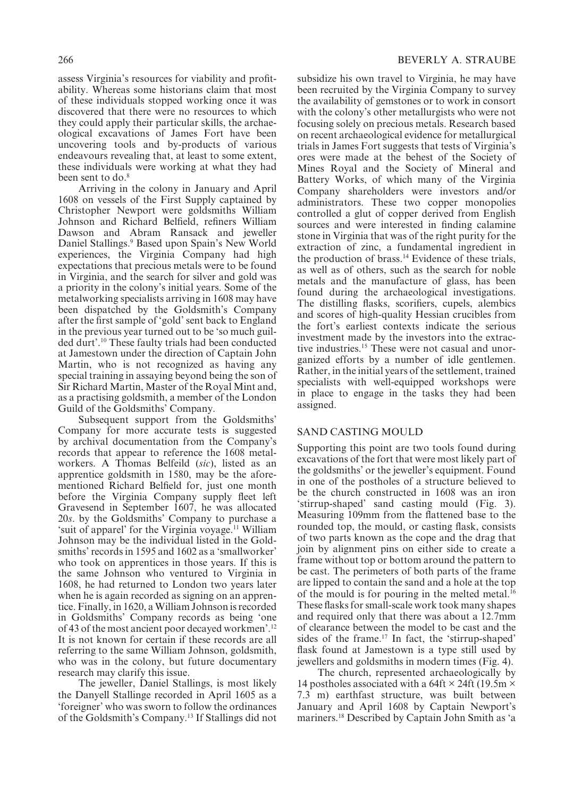assess Virginia's resources for viability and profitability. Whereas some historians claim that most of these individuals stopped working once it was discovered that there were no resources to which they could apply their particular skills, the archaeological excavations of James Fort have been uncovering tools and by-products of various endeavours revealing that, at least to some extent, these individuals were working at what they had been sent to do.<sup>8</sup>

Arriving in the colony in January and April 1608 on vessels of the First Supply captained by Christopher Newport were goldsmiths William Johnson and Richard Belfield, refiners William Dawson and Abram Ransack and jeweller Daniel Stallings.<sup>9</sup> Based upon Spain's New World experiences, the Virginia Company had high expectations that precious metals were to be found in Virginia, and the search for silver and gold was a priority in the colony's initial years. Some of the metalworking specialists arriving in 1608 may have been dispatched by the Goldsmith's Company after the first sample of 'gold' sent back to England in the previous year turned out to be 'so much guilded durt'.10 These faulty trials had been conducted at Jamestown under the direction of Captain John Martin, who is not recognized as having any special training in assaying beyond being the son of Sir Richard Martin, Master of the Royal Mint and, as a practising goldsmith, a member of the London Guild of the Goldsmiths' Company.

Subsequent support from the Goldsmiths' Company for more accurate tests is suggested by archival documentation from the Company's records that appear to reference the 1608 metalworkers. A Thomas Belfeild (*sic*), listed as an apprentice goldsmith in 1580, may be the aforementioned Richard Belfield for, just one month before the Virginia Company supply fleet left Gravesend in September 1607, he was allocated 20*s*. by the Goldsmiths' Company to purchase a 'suit of apparel' for the Virginia voyage.<sup>11</sup> William Johnson may be the individual listed in the Goldsmiths' records in 1595 and 1602 as a 'smallworker' who took on apprentices in those years. If this is the same Johnson who ventured to Virginia in 1608, he had returned to London two years later when he is again recorded as signing on an apprentice. Finally, in 1620, a William Johnson is recorded in Goldsmiths' Company records as being 'one of 43 of the most ancient poor decayed workmen'.12 It is not known for certain if these records are all referring to the same William Johnson, goldsmith, who was in the colony, but future documentary research may clarify this issue.

The jeweller, Daniel Stallings, is most likely the Danyell Stallinge recorded in April 1605 as a 'foreigner' who was sworn to follow the ordinances of the Goldsmith's Company.13 If Stallings did not

subsidize his own travel to Virginia, he may have been recruited by the Virginia Company to survey the availability of gemstones or to work in consort with the colony's other metallurgists who were not focusing solely on precious metals. Research based on recent archaeological evidence for metallurgical trials in James Fort suggests that tests of Virginia's ores were made at the behest of the Society of Mines Royal and the Society of Mineral and Battery Works, of which many of the Virginia Company shareholders were investors and/or administrators. These two copper monopolies controlled a glut of copper derived from English sources and were interested in finding calamine stone in Virginia that was of the right purity for the extraction of zinc, a fundamental ingredient in the production of brass.14 Evidence of these trials, as well as of others, such as the search for noble metals and the manufacture of glass, has been found during the archaeological investigations. The distilling flasks, scorifiers, cupels, alembics and scores of high-quality Hessian crucibles from the fort's earliest contexts indicate the serious investment made by the investors into the extractive industries.15 These were not casual and unorganized efforts by a number of idle gentlemen. Rather, in the initial years of the settlement, trained specialists with well-equipped workshops were in place to engage in the tasks they had been assigned.

#### SAND CASTING MOULD

Supporting this point are two tools found during excavations of the fort that were most likely part of the goldsmiths' or the jeweller's equipment. Found in one of the postholes of a structure believed to be the church constructed in 1608 was an iron 'stirrup-shaped' sand casting mould (Fig. 3). Measuring 109mm from the flattened base to the rounded top, the mould, or casting flask, consists of two parts known as the cope and the drag that join by alignment pins on either side to create a frame without top or bottom around the pattern to be cast. The perimeters of both parts of the frame are lipped to contain the sand and a hole at the top of the mould is for pouring in the melted metal.<sup>16</sup> These flasks for small-scale work took many shapes and required only that there was about a 12.7mm of clearance between the model to be cast and the sides of the frame.<sup>17</sup> In fact, the 'stirrup-shaped' flask found at Jamestown is a type still used by jewellers and goldsmiths in modern times (Fig. 4).

The church, represented archaeologically by 14 postholes associated with a 64ft  $\times$  24ft (19.5m  $\times$ 7.3 m) earthfast structure, was built between January and April 1608 by Captain Newport's mariners.18 Described by Captain John Smith as 'a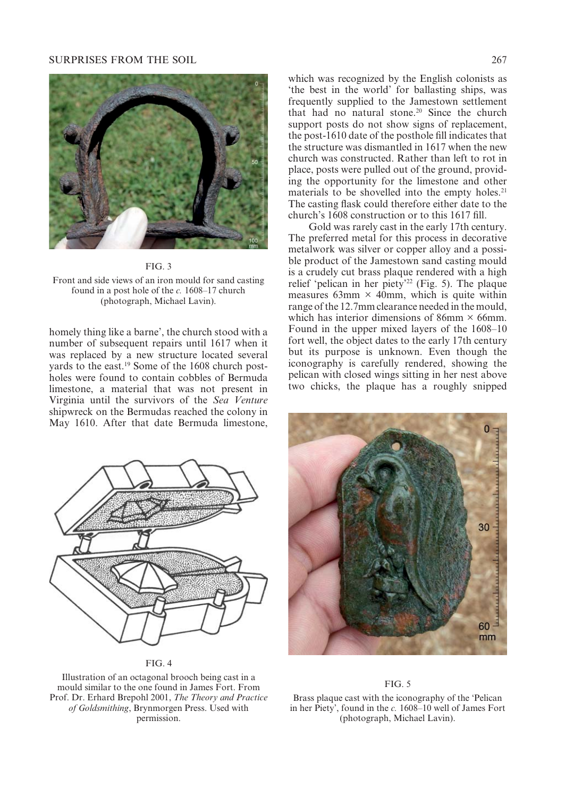

FIG. 3 Front and side views of an iron mould for sand casting found in a post hole of the *c.* 1608–17 church (photograph, Michael Lavin).

homely thing like a barne', the church stood with a number of subsequent repairs until 1617 when it was replaced by a new structure located several yards to the east.<sup>19</sup> Some of the 1608 church postholes were found to contain cobbles of Bermuda limestone, a material that was not present in Virginia until the survivors of the *Sea Venture*  shipwreck on the Bermudas reached the colony in May 1610. After that date Bermuda limestone,



#### FIG. 4

Illustration of an octagonal brooch being cast in a mould similar to the one found in James Fort. From Prof. Dr. Erhard Brepohl 2001, *The Theory and Practice of Goldsmithing*, Brynmorgen Press. Used with permission.

which was recognized by the English colonists as 'the best in the world' for ballasting ships, was frequently supplied to the Jamestown settlement that had no natural stone.20 Since the church support posts do not show signs of replacement. the post-1610 date of the posthole fill indicates that the structure was dismantled in 1617 when the new church was constructed. Rather than left to rot in place, posts were pulled out of the ground, providing the opportunity for the limestone and other materials to be shovelled into the empty holes.<sup>21</sup> The casting flask could therefore either date to the church's  $1608$  construction or to this  $1617$  fill.

Gold was rarely cast in the early 17th century. The preferred metal for this process in decorative metalwork was silver or copper alloy and a possible product of the Jamestown sand casting mould is a crudely cut brass plaque rendered with a high relief 'pelican in her piety<sup>22</sup> (Fig. 5). The plaque measures  $63 \text{mm} \times 40 \text{mm}$ , which is quite within range of the 12.7mm clearance needed in the mould, which has interior dimensions of  $86 \text{mm} \times 66 \text{mm}$ . Found in the upper mixed layers of the 1608–10 fort well, the object dates to the early 17th century but its purpose is unknown. Even though the iconography is carefully rendered, showing the pelican with closed wings sitting in her nest above two chicks, the plaque has a roughly snipped



#### FIG. 5

Brass plaque cast with the iconography of the 'Pelican in her Piety', found in the *c.* 1608–10 well of James Fort (photograph, Michael Lavin).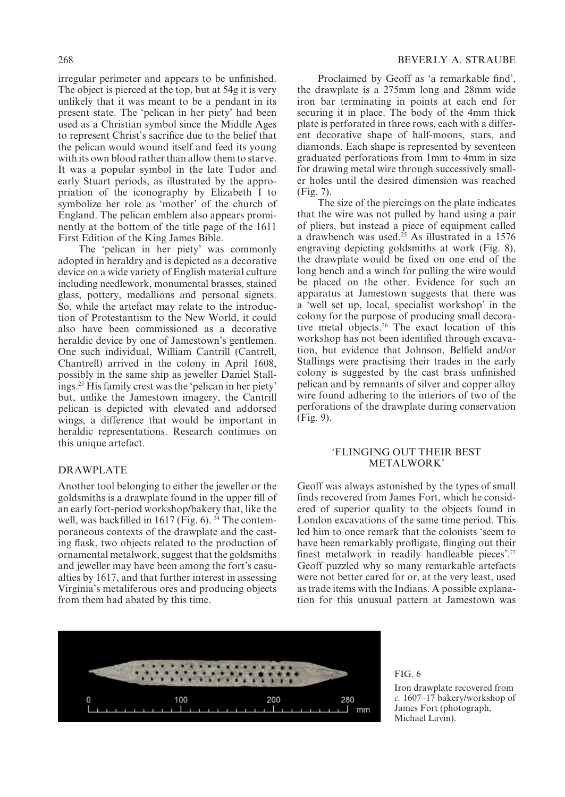irregular perimeter and appears to be unfinished. The object is pierced at the top, but at 54g it is very unlikely that it was meant to be a pendant in its present state. The 'pelican in her piety' had been used as a Christian symbol since the Middle Ages to represent Christ's sacrifice due to the belief that the pelican would wound itself and feed its young with its own blood rather than allow them to starve. It was a popular symbol in the late Tudor and early Stuart periods, as illustrated by the appropriation of the iconography by Elizabeth I to symbolize her role as 'mother' of the church of England. The pelican emblem also appears prominently at the bottom of the title page of the 1611 First Edition of the King James Bible.

The 'pelican in her piety' was commonly adopted in heraldry and is depicted as a decorative device on a wide variety of English material culture including needlework, monumental brasses, stained glass, pottery, medallions and personal signets. So, while the artefact may relate to the introduction of Protestantism to the New World, it could also have been commissioned as a decorative heraldic device by one of Jamestown's gentlemen. One such individual, William Cantrill (Cantrell, Chantrell) arrived in the colony in April 1608, possibly in the same ship as jeweller Daniel Stallings.23 His family crest was the 'pelican in her piety' but, unlike the Jamestown imagery, the Cantrill pelican is depicted with elevated and addorsed wings, a difference that would be important in heraldic representations. Research continues on this unique artefact.

#### DRAWPLATE

Another tool belonging to either the jeweller or the goldsmiths is a drawplate found in the upper fill of an early fort-period workshop/bakery that, like the well, was backfilled in 1617 (Fig. 6). <sup>24</sup> The contemporaneous contexts of the drawplate and the casting flask, two objects related to the production of ornamental metalwork, suggest that the goldsmiths and jeweller may have been among the fort's casualties by 1617, and that further interest in assessing Virginia's metaliferous ores and producing objects from them had abated by this time.

Proclaimed by Geoff as 'a remarkable find', the drawplate is a 275mm long and 28mm wide iron bar terminating in points at each end for securing it in place. The body of the 4mm thick plate is perforated in three rows, each with a different decorative shape of half-moons, stars, and diamonds. Each shape is represented by seventeen graduated perforations from 1mm to 4mm in size for drawing metal wire through successively smaller holes until the desired dimension was reached (Fig. 7).

The size of the piercings on the plate indicates that the wire was not pulled by hand using a pair of pliers, but instead a piece of equipment called a drawbench was used.<sup>25</sup> As illustrated in a 1576 engraving depicting goldsmiths at work (Fig. 8), the drawplate would be fixed on one end of the long bench and a winch for pulling the wire would be placed on the other. Evidence for such an apparatus at Jamestown suggests that there was a 'well set up, local, specialist workshop' in the colony for the purpose of producing small decorative metal objects.26 The exact location of this workshop has not been identified through excavation, but evidence that Johnson, Belfield and/or Stallings were practising their trades in the early colony is suggested by the cast brass unfinished pelican and by remnants of silver and copper alloy wire found adhering to the interiors of two of the perforations of the drawplate during conservation (Fig. 9).

## 'FLINGING OUT THEIR BEST METALWORK'

Geoff was always astonished by the types of small finds recovered from James Fort, which he considered of superior quality to the objects found in London excavations of the same time period. This led him to once remark that the colonists 'seem to have been remarkably profligate, flinging out their finest metalwork in readily handleable pieces'.<sup>27</sup> Geoff puzzled why so many remarkable artefacts were not better cared for or, at the very least, used as trade items with the Indians. A possible explanation for this unusual pattern at Jamestown was



#### FIG. 6

Iron drawplate recovered from *c.* 1607–17 bakery/workshop of James Fort (photograph, Michael Lavin).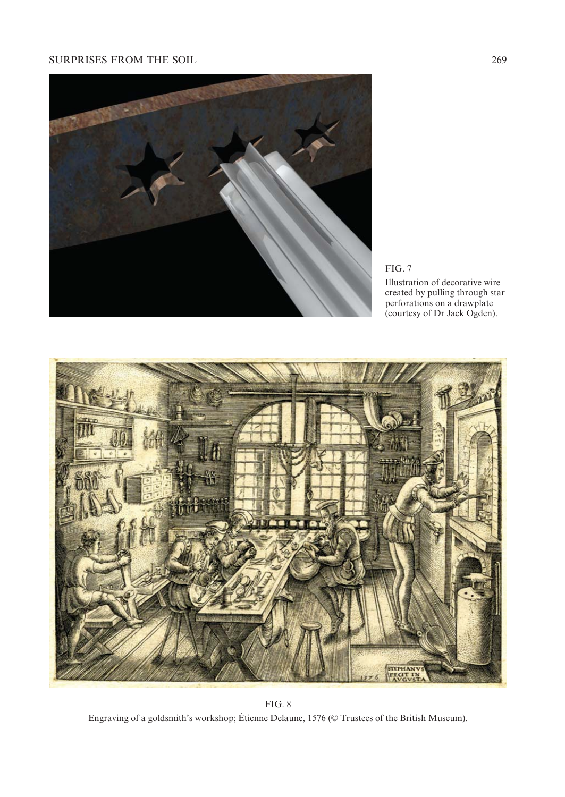



Illustration of decorative wire created by pulling through star perforations on a drawplate (courtesy of Dr Jack Ogden).



FIG. 8 Engraving of a goldsmith's workshop; Étienne Delaune, 1576 (© Trustees of the British Museum).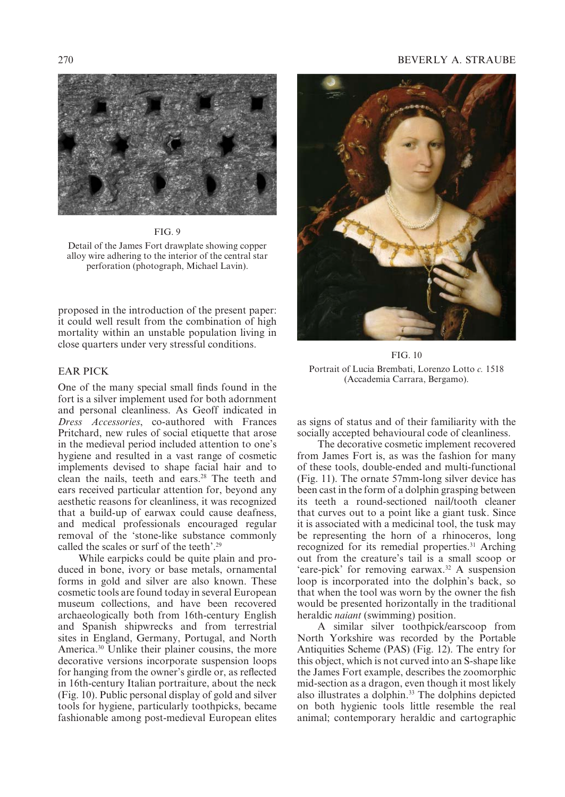#### FIG. 9

Detail of the James Fort drawplate showing copper alloy wire adhering to the interior of the central star perforation (photograph, Michael Lavin).

proposed in the introduction of the present paper: it could well result from the combination of high mortality within an unstable population living in close quarters under very stressful conditions.

# EAR PICK

One of the many special small finds found in the fort is a silver implement used for both adornment and personal cleanliness. As Geoff indicated in *Dress Accessories*, co-authored with Frances Pritchard, new rules of social etiquette that arose in the medieval period included attention to one's hygiene and resulted in a vast range of cosmetic implements devised to shape facial hair and to clean the nails, teeth and ears.<sup>28</sup> The teeth and ears received particular attention for, beyond any aesthetic reasons for cleanliness, it was recognized that a build-up of earwax could cause deafness, and medical professionals encouraged regular removal of the 'stone-like substance commonly called the scales or surf of the teeth'.29

While earpicks could be quite plain and produced in bone, ivory or base metals, ornamental forms in gold and silver are also known. These cosmetic tools are found today in several European museum collections, and have been recovered archaeologically both from 16th-century English and Spanish shipwrecks and from terrestrial sites in England, Germany, Portugal, and North America.30 Unlike their plainer cousins, the more decorative versions incorporate suspension loops for hanging from the owner's girdle or, as reflected in 16th-century Italian portraiture, about the neck (Fig. 10). Public personal display of gold and silver tools for hygiene, particularly toothpicks, became fashionable among post-medieval European elites

#### 270 BEVERLY A. STRAUBE



FIG. 10 Portrait of Lucia Brembati, Lorenzo Lotto *c.* 1518 (Accademia Carrara, Bergamo).

as signs of status and of their familiarity with the socially accepted behavioural code of cleanliness.

The decorative cosmetic implement recovered from James Fort is, as was the fashion for many of these tools, double-ended and multi-functional (Fig. 11). The ornate 57mm-long silver device has been cast in the form of a dolphin grasping between its teeth a round-sectioned nail/tooth cleaner that curves out to a point like a giant tusk. Since it is associated with a medicinal tool, the tusk may be representing the horn of a rhinoceros, long recognized for its remedial properties.<sup>31</sup> Arching out from the creature's tail is a small scoop or 'eare-pick' for removing earwax.<sup>32</sup> A suspension loop is incorporated into the dolphin's back, so that when the tool was worn by the owner the fish would be presented horizontally in the traditional heraldic *naiant* (swimming) position.

A similar silver toothpick/earscoop from North Yorkshire was recorded by the Portable Antiquities Scheme (PAS) (Fig. 12). The entry for this object, which is not curved into an S-shape like the James Fort example, describes the zoomorphic mid-section as a dragon, even though it most likely also illustrates a dolphin.<sup>33</sup> The dolphins depicted on both hygienic tools little resemble the real animal; contemporary heraldic and cartographic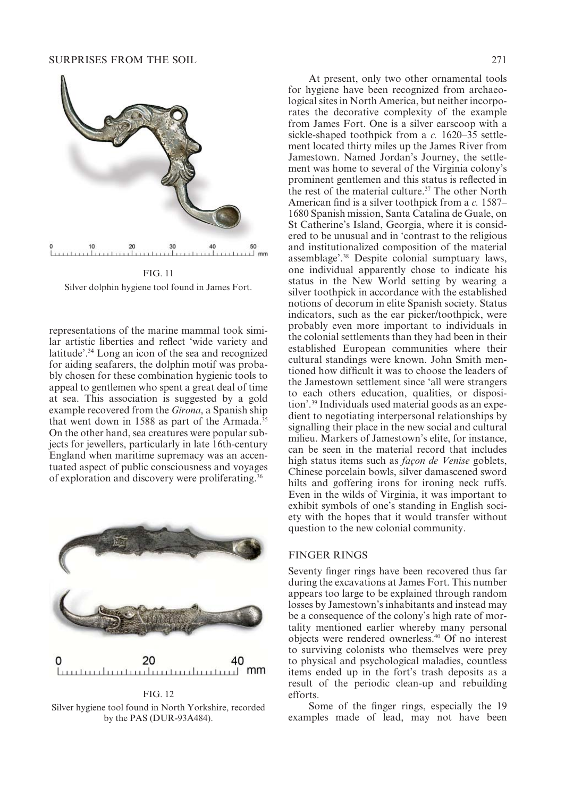

FIG. 11 Silver dolphin hygiene tool found in James Fort.

representations of the marine mammal took similar artistic liberties and reflect 'wide variety and latitude'.34 Long an icon of the sea and recognized for aiding seafarers, the dolphin motif was probably chosen for these combination hygienic tools to appeal to gentlemen who spent a great deal of time at sea. This association is suggested by a gold example recovered from the *Girona*, a Spanish ship that went down in 1588 as part of the Armada.<sup>35</sup> On the other hand, sea creatures were popular subjects for jewellers, particularly in late 16th-century England when maritime supremacy was an accentuated aspect of public consciousness and voyages of exploration and discovery were proliferating.36



FIG. 12 Silver hygiene tool found in North Yorkshire, recorded by the PAS (DUR-93A484).

At present, only two other ornamental tools for hygiene have been recognized from archaeo-

logical sites in North America, but neither incorporates the decorative complexity of the example from James Fort. One is a silver earscoop with a sickle-shaped toothpick from a *c.* 1620–35 settlement located thirty miles up the James River from Jamestown. Named Jordan's Journey, the settlement was home to several of the Virginia colony's prominent gentlemen and this status is reflected in the rest of the material culture. $37$  The other North American find is a silver toothpick from a c. 1587– 1680 Spanish mission, Santa Catalina de Guale, on St Catherine's Island, Georgia, where it is considered to be unusual and in 'contrast to the religious and institutionalized composition of the material assemblage'.38 Despite colonial sumptuary laws, one individual apparently chose to indicate his status in the New World setting by wearing a silver toothpick in accordance with the established notions of decorum in elite Spanish society. Status indicators, such as the ear picker/toothpick, were probably even more important to individuals in the colonial settlements than they had been in their established European communities where their cultural standings were known. John Smith mentioned how difficult it was to choose the leaders of the Jamestown settlement since 'all were strangers to each others education, qualities, or disposition'.39 Individuals used material goods as an expedient to negotiating interpersonal relationships by signalling their place in the new social and cultural milieu. Markers of Jamestown's elite, for instance, can be seen in the material record that includes high status items such as *façon de Venise* goblets, Chinese porcelain bowls, silver damascened sword hilts and goffering irons for ironing neck ruffs. Even in the wilds of Virginia, it was important to exhibit symbols of one's standing in English society with the hopes that it would transfer without question to the new colonial community.

#### FINGER RINGS

Seventy finger rings have been recovered thus far during the excavations at James Fort. This number appears too large to be explained through random losses by Jamestown's inhabitants and instead may be a consequence of the colony's high rate of mortality mentioned earlier whereby many personal objects were rendered ownerless.40 Of no interest to surviving colonists who themselves were prey to physical and psychological maladies, countless items ended up in the fort's trash deposits as a result of the periodic clean-up and rebuilding efforts.

Some of the finger rings, especially the 19 examples made of lead, may not have been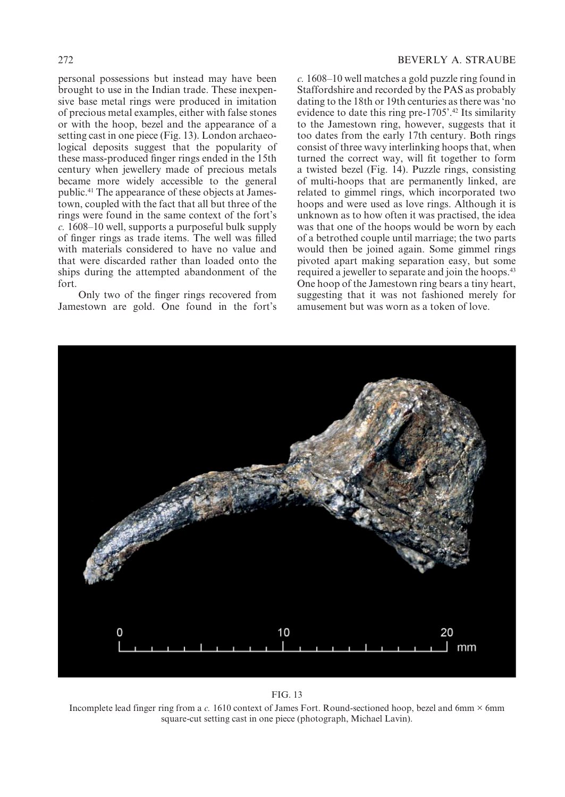personal possessions but instead may have been brought to use in the Indian trade. These inexpensive base metal rings were produced in imitation of precious metal examples, either with false stones or with the hoop, bezel and the appearance of a setting cast in one piece (Fig. 13). London archaeological deposits suggest that the popularity of these mass-produced finger rings ended in the 15th century when jewellery made of precious metals became more widely accessible to the general public.41 The appearance of these objects at Jamestown, coupled with the fact that all but three of the rings were found in the same context of the fort's *c.* 1608–10 well, supports a purposeful bulk supply of finger rings as trade items. The well was filled with materials considered to have no value and that were discarded rather than loaded onto the ships during the attempted abandonment of the fort.

Only two of the finger rings recovered from Jamestown are gold. One found in the fort's

## 272 BEVERLY A. STRAUBE

*c.* 1608 –10 well matches a gold puzzle ring found in Staffordshire and recorded by the PAS as probably dating to the 18th or 19th centuries as there was 'no evidence to date this ring pre-1705'.42 Its similarity to the Jamestown ring, however, suggests that it too dates from the early 17th century. Both rings consist of three wavy interlinking hoops that, when turned the correct way, will fit together to form a twisted bezel (Fig. 14). Puzzle rings, consisting of multi-hoops that are permanently linked, are related to gimmel rings, which incorporated two hoops and were used as love rings. Although it is unknown as to how often it was practised, the idea was that one of the hoops would be worn by each of a betrothed couple until marriage; the two parts would then be joined again. Some gimmel rings pivoted apart making separation easy, but some required a jeweller to separate and join the hoops.<sup>43</sup> One hoop of the Jamestown ring bears a tiny heart, suggesting that it was not fashioned merely for amusement but was worn as a token of love.



#### FIG. 13

Incomplete lead finger ring from a *c.* 1610 context of James Fort. Round-sectioned hoop, bezel and 6mm × 6mm square-cut setting cast in one piece (photograph, Michael Lavin).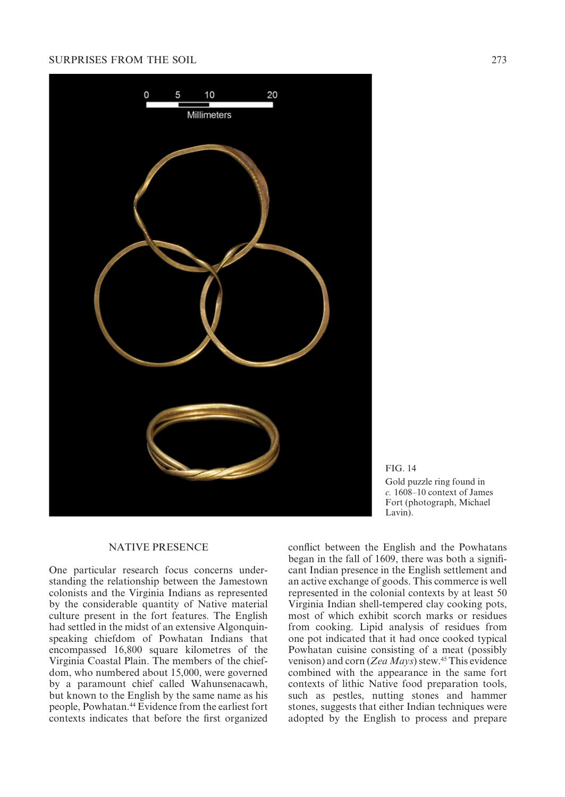

FIG. 14 Gold puzzle ring found in *c.* 1608–10 context of James Fort (photograph, Michael Lavin).

## NATIVE PRESENCE

One particular research focus concerns understanding the relationship between the Jamestown colonists and the Virginia Indians as represented by the considerable quantity of Native material culture present in the fort features. The English had settled in the midst of an extensive Algonquinspeaking chiefdom of Powhatan Indians that encompassed 16,800 square kilometres of the Virginia Coastal Plain. The members of the chiefdom, who numbered about 15,000, were governed by a paramount chief called Wahunsenacawh, but known to the English by the same name as his people, Powhatan.44 Evidence from the earliest fort contexts indicates that before the first organized

conflict between the English and the Powhatans began in the fall of 1609, there was both a significant Indian presence in the English settlement and an active exchange of goods. This commerce is well represented in the colonial contexts by at least 50 Virginia Indian shell-tempered clay cooking pots, most of which exhibit scorch marks or residues from cooking. Lipid analysis of residues from one pot indicated that it had once cooked typical Powhatan cuisine consisting of a meat (possibly venison) and corn (*Zea Mays*) stew.45 This evidence combined with the appearance in the same fort contexts of lithic Native food preparation tools, such as pestles, nutting stones and hammer stones, suggests that either Indian techniques were adopted by the English to process and prepare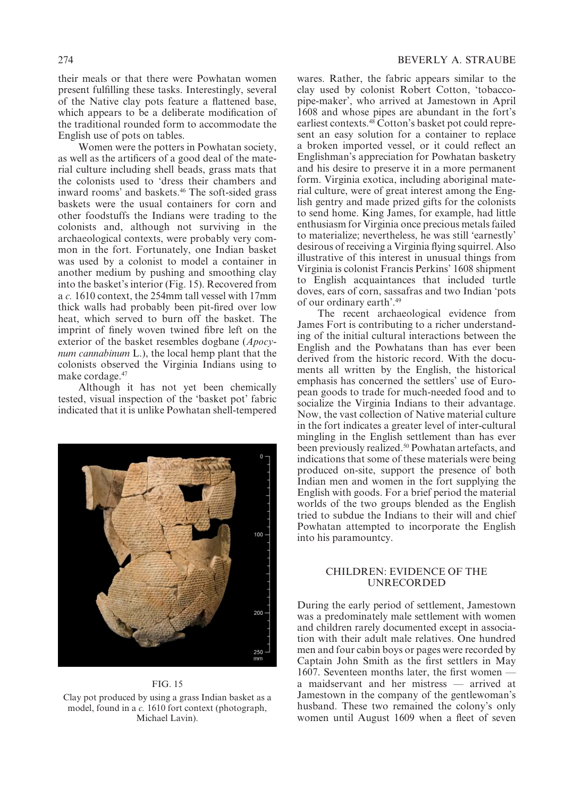their meals or that there were Powhatan women present fulfilling these tasks. Interestingly, several of the Native clay pots feature a flattened base, which appears to be a deliberate modification of the traditional rounded form to accommodate the English use of pots on tables.

Women were the potters in Powhatan society, as well as the artificers of a good deal of the material culture including shell beads, grass mats that the colonists used to 'dress their chambers and inward rooms' and baskets.46 The soft-sided grass baskets were the usual containers for corn and other foodstuffs the Indians were trading to the colonists and, although not surviving in the archaeological contexts, were probably very common in the fort. Fortunately, one Indian basket was used by a colonist to model a container in another medium by pushing and smoothing clay into the basket's interior (Fig. 15). Recovered from a *c.* 1610 context, the 254mm tall vessel with 17mm thick walls had probably been pit-fired over low heat, which served to burn off the basket. The imprint of finely woven twined fibre left on the exterior of the basket resembles dogbane (*Apocynum cannabinum* L.), the local hemp plant that the colonists observed the Virginia Indians using to make cordage.47

Although it has not yet been chemically tested, visual inspection of the 'basket pot' fabric indicated that it is unlike Powhatan shell-tempered



#### FIG. 15

Clay pot produced by using a grass Indian basket as a model, found in a *c.* 1610 fort context (photograph, Michael Lavin).

wares. Rather, the fabric appears similar to the clay used by colonist Robert Cotton, 'tobaccopipe-maker', who arrived at Jamestown in April 1608 and whose pipes are abundant in the fort's earliest contexts. $48 \text{ Cotton's basket pot could repre-}$ sent an easy solution for a container to replace a broken imported vessel, or it could reflect an Englishman's appreciation for Powhatan basketry and his desire to preserve it in a more permanent form. Virginia exotica, including aboriginal material culture, were of great interest among the English gentry and made prized gifts for the colonists to send home. King James, for example, had little enthusiasm for Virginia once precious metals failed to materialize; nevertheless, he was still 'earnestly' desirous of receiving a Virginia flying squirrel. Also illustrative of this interest in unusual things from Virginia is colonist Francis Perkins' 1608 shipment to English acquaintances that included turtle doves, ears of corn, sassafras and two Indian 'pots of our ordinary earth'.49

The recent archaeological evidence from James Fort is contributing to a richer understanding of the initial cultural interactions between the English and the Powhatans than has ever been derived from the historic record. With the documents all written by the English, the historical emphasis has concerned the settlers' use of European goods to trade for much-needed food and to socialize the Virginia Indians to their advantage. Now, the vast collection of Native material culture in the fort indicates a greater level of inter-cultural mingling in the English settlement than has ever been previously realized.<sup>50</sup> Powhatan artefacts, and indications that some of these materials were being produced on-site, support the presence of both Indian men and women in the fort supplying the English with goods. For a brief period the material worlds of the two groups blended as the English tried to subdue the Indians to their will and chief Powhatan attempted to incorporate the English into his paramountcy.

#### CHILDREN: EVIDENCE OF THE UNRECORDED

During the early period of settlement, Jamestown was a predominately male settlement with women and children rarely documented except in association with their adult male relatives. One hundred men and four cabin boys or pages were recorded by Captain John Smith as the first settlers in May 1607. Seventeen months later, the first women  $$ a maidservant and her mistress — arrived at Jamestown in the company of the gentlewoman's husband. These two remained the colony's only women until August 1609 when a fleet of seven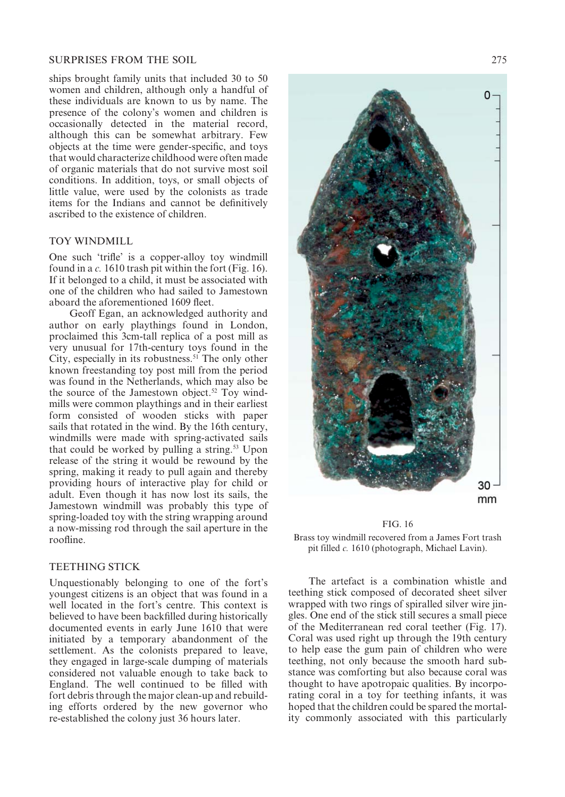ships brought family units that included 30 to 50 women and children, although only a handful of these individuals are known to us by name. The presence of the colony's women and children is occasionally detected in the material record, although this can be somewhat arbitrary. Few objects at the time were gender-specific, and toys that would characterize childhood were often made of organic materials that do not survive most soil conditions. In addition, toys, or small objects of little value, were used by the colonists as trade items for the Indians and cannot be definitively ascribed to the existence of children.

#### TOY WINDMILL

One such 'trifle' is a copper-alloy toy windmill found in a *c.* 1610 trash pit within the fort (Fig. 16). If it belonged to a child, it must be associated with one of the children who had sailed to Jamestown aboard the aforementioned 1609 fleet.

Geoff Egan, an acknowledged authority and author on early playthings found in London, proclaimed this 3cm-tall replica of a post mill as very unusual for 17th-century toys found in the City, especially in its robustness.<sup>51</sup> The only other known freestanding toy post mill from the period was found in the Netherlands, which may also be the source of the Jamestown object.<sup>52</sup> Toy windmills were common playthings and in their earliest form consisted of wooden sticks with paper sails that rotated in the wind. By the 16th century, windmills were made with spring-activated sails that could be worked by pulling a string.53 Upon release of the string it would be rewound by the spring, making it ready to pull again and thereby providing hours of interactive play for child or adult. Even though it has now lost its sails, the Jamestown windmill was probably this type of spring-loaded toy with the string wrapping around a now-missing rod through the sail aperture in the roofline.

## TEETHING STICK

Unquestionably belonging to one of the fort's youngest citizens is an object that was found in a well located in the fort's centre. This context is believed to have been backfilled during historically documented events in early June 1610 that were initiated by a temporary abandonment of the settlement. As the colonists prepared to leave, they engaged in large-scale dumping of materials considered not valuable enough to take back to England. The well continued to be filled with fort debris through the major clean-up and rebuilding efforts ordered by the new governor who re-established the colony just 36 hours later.



FIG. 16

Brass toy windmill recovered from a James Fort trash pit filled *c.* 1610 (photograph, Michael Lavin).

The artefact is a combination whistle and teething stick composed of decorated sheet silver wrapped with two rings of spiralled silver wire jingles. One end of the stick still secures a small piece of the Mediterranean red coral teether (Fig. 17). Coral was used right up through the 19th century to help ease the gum pain of children who were teething, not only because the smooth hard substance was comforting but also because coral was thought to have apotropaic qualities. By incorporating coral in a toy for teething infants, it was hoped that the children could be spared the mortality commonly associated with this particularly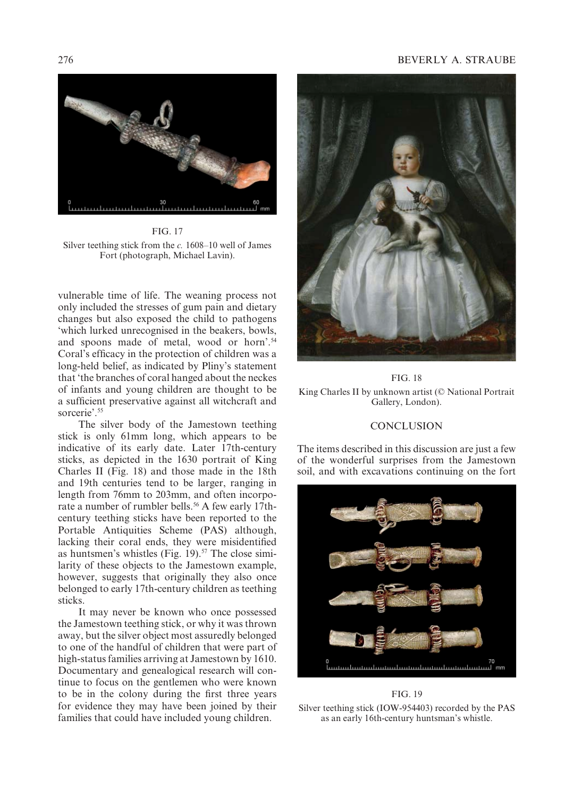

FIG. 17 Silver teething stick from the *c.* 1608–10 well of James Fort (photograph, Michael Lavin).

vulnerable time of life. The weaning process not only included the stresses of gum pain and dietary changes but also exposed the child to pathogens 'which lurked unrecognised in the beakers, bowls, and spoons made of metal, wood or horn'.54 Coral's efficacy in the protection of children was a long-held belief, as indicated by Pliny's statement that 'the branches of coral hanged about the neckes of infants and young children are thought to be a sufficient preservative against all witchcraft and sorcerie'.<sup>55</sup>

The silver body of the Jamestown teething stick is only 61mm long, which appears to be indicative of its early date. Later 17th-century sticks, as depicted in the 1630 portrait of King Charles II (Fig. 18) and those made in the 18th and 19th centuries tend to be larger, ranging in length from 76mm to 203mm, and often incorporate a number of rumbler bells.<sup>56</sup> A few early 17thcentury teething sticks have been reported to the Portable Antiquities Scheme (PAS) although, lacking their coral ends, they were misidentified as huntsmen's whistles (Fig. 19). $57$  The close similarity of these objects to the Jamestown example, however, suggests that originally they also once belonged to early 17th-century children as teething sticks.

It may never be known who once possessed the Jamestown teething stick, or why it was thrown away, but the silver object most assuredly belonged to one of the handful of children that were part of high-status families arriving at Jamestown by 1610. Documentary and genealogical research will continue to focus on the gentlemen who were known to be in the colony during the first three years for evidence they may have been joined by their families that could have included young children.

#### 276 BEVERLY A. STRAUBE



FIG. 18 King Charles II by unknown artist (© National Portrait Gallery, London).

# **CONCLUSION**

The items described in this discussion are just a few of the wonderful surprises from the Jamestown soil, and with excavations continuing on the fort



FIG. 19

Silver teething stick (IOW-954403) recorded by the PAS as an early 16th-century huntsman's whistle.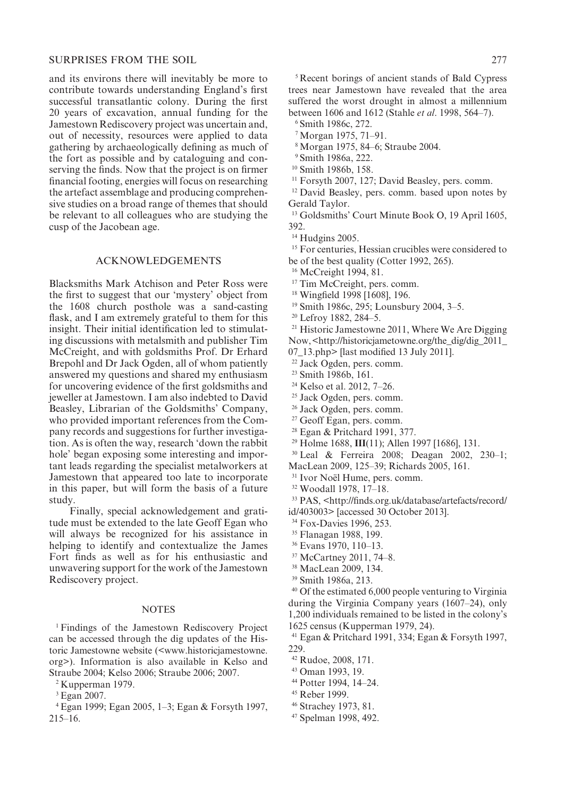and its environs there will inevitably be more to contribute towards understanding England's first successful transatlantic colony. During the first 20 years of excavation, annual funding for the Jamestown Rediscovery project was uncertain and, out of necessity, resources were applied to data gathering by archaeologically defining as much of the fort as possible and by cataloguing and conserving the finds. Now that the project is on firmer financial footing, energies will focus on researching the artefact assemblage and producing comprehensive studies on a broad range of themes that should be relevant to all colleagues who are studying the cusp of the Jacobean age.

## ACKNOWLEDGEMENTS

Blacksmiths Mark Atchison and Peter Ross were the first to suggest that our 'mystery' object from the 1608 church posthole was a sand-casting flask, and I am extremely grateful to them for this insight. Their initial identification led to stimulating discussions with metalsmith and publisher Tim McCreight, and with goldsmiths Prof. Dr Erhard Brepohl and Dr Jack Ogden, all of whom patiently answered my questions and shared my enthusiasm for uncovering evidence of the first goldsmiths and jeweller at Jamestown. I am also indebted to David Beasley, Librarian of the Goldsmiths' Company, who provided important references from the Company records and suggestions for further investigation. As is often the way, research 'down the rabbit hole' began exposing some interesting and important leads regarding the specialist metalworkers at Jamestown that appeared too late to incorporate in this paper, but will form the basis of a future study.

Finally, special acknowledgement and gratitude must be extended to the late Geoff Egan who will always be recognized for his assistance in helping to identify and contextualize the James Fort finds as well as for his enthusiastic and unwavering support for the work of the Jamestown Rediscovery project.

#### **NOTES**

1 Findings of the Jamestown Rediscovery Project can be accessed through the dig updates of the Historic Jamestowne website (<www.historicjamestowne. org>). Information is also available in Kelso and Straube 2004; Kelso 2006; Straube 2006; 2007.

2 Kupperman 1979.

3 Egan 2007.

4 Egan 1999; Egan 2005, 1–3; Egan & Forsyth 1997, 215–16.

5 Recent borings of ancient stands of Bald Cypress trees near Jamestown have revealed that the area suffered the worst drought in almost a millennium between 1606 and 1612 (Stahle *et al*. 1998, 564–7).

6 Smith 1986c, 272.

- 7 Morgan 1975, 71–91.
- 8 Morgan 1975, 84–6; Straube 2004.
- 9 Smith 1986a, 222.
- 10 Smith 1986b, 158.
- <sup>11</sup> Forsyth 2007, 127; David Beasley, pers. comm.
- <sup>12</sup> David Beasley, pers. comm. based upon notes by Gerald Taylor.

<sup>13</sup> Goldsmiths' Court Minute Book O, 19 April 1605, 392.

- 14 Hudgins 2005.
- <sup>15</sup> For centuries, Hessian crucibles were considered to be of the best quality (Cotter 1992, 265).
- 16 McCreight 1994, 81.
- <sup>17</sup> Tim McCreight, pers. comm.
- <sup>18</sup> Wingfield 1998 [1608], 196.
- 19 Smith 1986c, 295; Lounsbury 2004, 3–5.
- 20 Lefroy 1882, 284–5.
- <sup>21</sup> Historic Jamestowne 2011, Where We Are Digging Now, <http://historicjametowne.org/the\_dig/dig\_2011\_ 07  $13.$ php> [last modified 13 July 2011].
- 22 Jack Ogden, pers. comm.
- 23 Smith 1986b, 161.
- 24 Kelso et al. 2012, 7–26.
- 25 Jack Ogden, pers. comm.
- 26 Jack Ogden, pers. comm.
- 27 Geoff Egan, pers. comm.
- 28 Egan & Pritchard 1991, 377.
- 29 Holme 1688, **III**(11); Allen 1997 [1686], 131.
- 30 Leal & Ferreira 2008; Deagan 2002, 230–1; MacLean 2009, 125–39; Richards 2005, 161.
- 31 Ivor Noël Hume, pers. comm.
- 32 Woodall 1978, 17–18.

<sup>33</sup> PAS, <http://finds.org.uk/database/artefacts/record/ id/403003> [accessed 30 October 2013].

- 34 Fox-Davies 1996, 253.
- 35 Flanagan 1988, 199.
- 36 Evans 1970, 110–13.
- 37 McCartney 2011, 74–8.
- 38 MacLean 2009, 134.
- 39 Smith 1986a, 213.

40 Of the estimated 6,000 people venturing to Virginia during the Virginia Company years (1607–24), only 1,200 individuals remained to be listed in the colony's 1625 census (Kupperman 1979, 24).

41 Egan & Pritchard 1991, 334; Egan & Forsyth 1997, 229.

- 42 Rudoe, 2008, 171.
- 43 Oman 1993, 19.
- 44 Potter 1994, 14–24.
- 45 Reber 1999.
- 46 Strachey 1973, 81.
- 47 Spelman 1998, 492.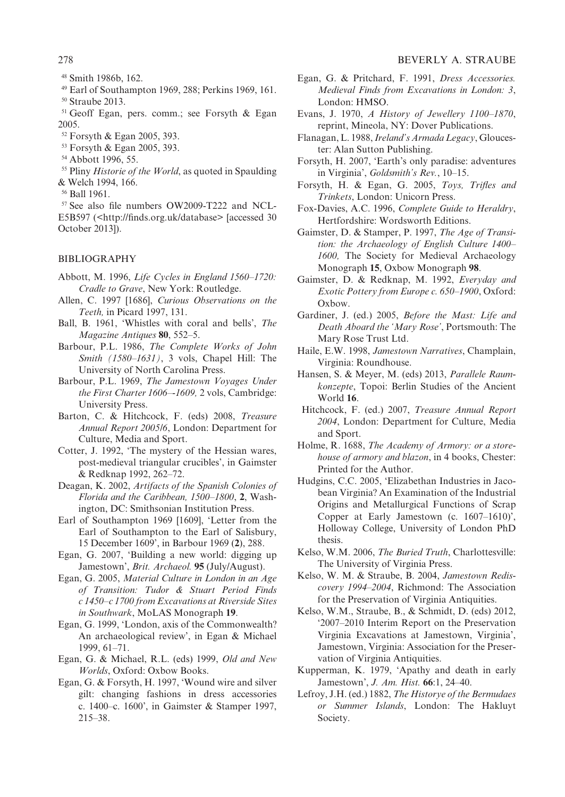- 48 Smith 1986b, 162.
- 49 Earl of Southampton 1969, 288; Perkins 1969, 161. 50 Straube 2013.
- 51 Geoff Egan, pers. comm.; see Forsyth & Egan 2005.
- 52 Forsyth & Egan 2005, 393.
- 53 Forsyth & Egan 2005, 393.
- 54 Abbott 1996, 55.
- 55 Pliny *Historie of the World*, as quoted in Spaulding & Welch 1994, 166.

56 Ball 1961.

<sup>57</sup> See also file numbers OW2009-T222 and NCL-E5B597 (<http://finds.org.uk/database> [accessed 30 October 2013]).

#### BIBLIOGRAPHY

- Abbott, M. 1996, *Life Cycles in England 1560–1720: Cradle to Grave*, New York: Routledge.
- Allen, C. 1997 [1686], *Curious Observations on the Teeth,* in Picard 1997, 131.
- Ball, B. 1961, 'Whistles with coral and bells', *The Magazine Antiques* **80**, 552–5.
- Barbour, P.L. 1986, *The Complete Works of John Smith (1580–1631)*, 3 vols, Chapel Hill: The University of North Carolina Press.
- Barbour, P.L. 1969, *The Jamestown Voyages Under the First Charter 1606–-1609,* 2 vols, Cambridge: University Press.
- Barton, C. & Hitchcock, F. (eds) 2008, *Treasure Annual Report 2005/6*, London: Department for Culture, Media and Sport.
- Cotter, J. 1992, 'The mystery of the Hessian wares, post-medieval triangular crucibles', in Gaimster & Redknap 1992, 262–72.
- Deagan, K. 2002, *Artifacts of the Spanish Colonies of Florida and the Caribbean, 1500–1800*, **2**, Washington, DC: Smithsonian Institution Press.
- Earl of Southampton 1969 [1609], 'Letter from the Earl of Southampton to the Earl of Salisbury, 15 December 1609', in Barbour 1969 (**2**), 288.
- Egan, G. 2007, 'Building a new world: digging up Jamestown', *Brit. Archaeol.* **95** (July/August).
- Egan, G. 2005, *Material Culture in London in an Age of Transition: Tudor & Stuart Period Finds c 1450–c 1700 from Excavations at Riverside Sites in Southwark*, MoLAS Monograph **19**.
- Egan, G. 1999, 'London, axis of the Commonwealth? An archaeological review', in Egan & Michael 1999, 61–71.
- Egan, G. & Michael, R.L. (eds) 1999, *Old and New Worlds*, Oxford: Oxbow Books.
- Egan, G. & Forsyth, H. 1997, 'Wound wire and silver gilt: changing fashions in dress accessories c. 1400–c. 1600', in Gaimster & Stamper 1997, 215–38.
- Egan, G. & Pritchard, F. 1991, *Dress Accessories. Medieval Finds from Excavations in London: 3*, London: HMSO.
- Evans, J. 1970, *A History of Jewellery 1100*–*1870*, reprint, Mineola, NY: Dover Publications.
- Flanagan, L. 1988, *Ireland's Armada Legacy*, Gloucester: Alan Sutton Publishing.
- Forsyth, H. 2007, 'Earth's only paradise: adventures in Virginia', *Goldsmith's Rev.*, 10–15.
- Forsyth, H. & Egan, G. 2005, *Toys, Trifles and Trinkets*, London: Unicorn Press.
- Fox-Davies, A.C. 1996, *Complete Guide to Heraldry*, Hertfordshire: Wordsworth Editions.
- Gaimster, D. & Stamper, P. 1997, *The Age of Transition: the Archaeology of English Culture 1400*– *1600,* The Society for Medieval Archaeology Monograph **15**, Oxbow Monograph **98**.
- Gaimster, D. & Redknap, M. 1992, *Everyday and Exotic Pottery from Europe c. 650*–*1900*, Oxford: Oxbow.
- Gardiner, J. (ed.) 2005, *Before the Mast: Life and Death Aboard the 'Mary Rose'*, Portsmouth: The Mary Rose Trust Ltd.
- Haile, E.W. 1998, *Jamestown Narratives*, Champlain, Virginia: Roundhouse.
- Hansen, S. & Meyer, M. (eds) 2013, *Parallele Raumkonzepte*, Topoi: Berlin Studies of the Ancient World **16**.
- Hitchcock, F. (ed.) 2007, *Treasure Annual Report 2004*, London: Department for Culture, Media and Sport.
- Holme, R. 1688, *The Academy of Armory: or a storehouse of armory and blazon*, in 4 books, Chester: Printed for the Author.
- Hudgins, C.C. 2005, 'Elizabethan Industries in Jacobean Virginia? An Examination of the Industrial Origins and Metallurgical Functions of Scrap Copper at Early Jamestown (c. 1607–1610)', Holloway College, University of London PhD thesis.
- Kelso, W.M. 2006, *The Buried Truth*, Charlottesville: The University of Virginia Press.
- Kelso, W. M. & Straube, B. 2004, *Jamestown Rediscovery 1994–2004*, Richmond: The Association for the Preservation of Virginia Antiquities.
- Kelso, W.M., Straube, B., & Schmidt, D. (eds) 2012, '2007–2010 Interim Report on the Preservation Virginia Excavations at Jamestown, Virginia', Jamestown, Virginia: Association for the Preservation of Virginia Antiquities.
- Kupperman, K. 1979, 'Apathy and death in early Jamestown', *J. Am. Hist.* **66**:1, 24–40.
- Lefroy, J.H. (ed.) 1882, *The Historye of the Bermudaes or Summer Islands*, London: The Hakluyt Society.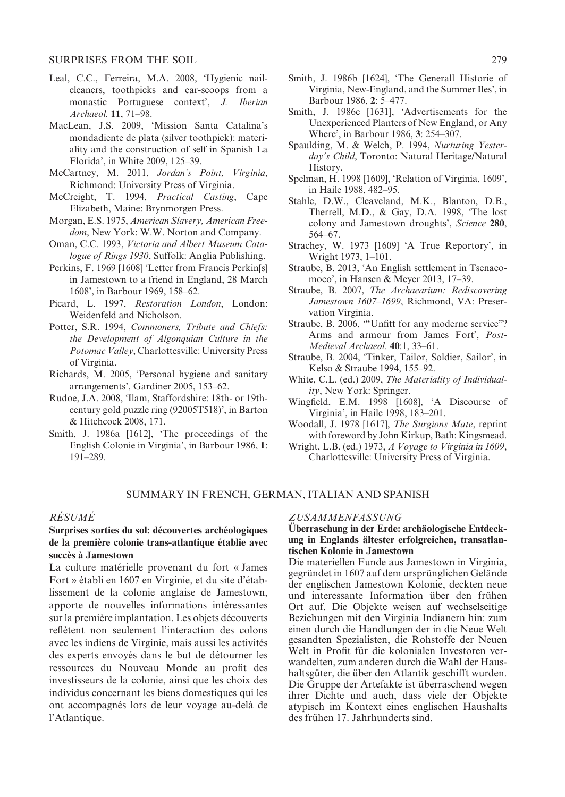- Leal, C.C., Ferreira, M.A. 2008, 'Hygienic nailcleaners, toothpicks and ear-scoops from a monastic Portuguese context', *J. Iberian Archaeol.* **11**, 71–98.
- MacLean, J.S. 2009, 'Mission Santa Catalina's mondadiente de plata (silver toothpick): materiality and the construction of self in Spanish La Florida', in White 2009, 125–39.
- McCartney, M. 2011, *Jordan's Point, Virginia*, Richmond: University Press of Virginia.
- McCreight, T. 1994, *Practical Casting*, Cape Elizabeth, Maine: Brynmorgen Press.
- Morgan, E.S. 1975, *American Slavery, American Freedom*, New York: W.W. Norton and Company.
- Oman, C.C. 1993, *Victoria and Albert Museum Catalogue of Rings 1930*, Suffolk: Anglia Publishing.
- Perkins, F. 1969 [1608] 'Letter from Francis Perkin[s] in Jamestown to a friend in England, 28 March 1608', in Barbour 1969, 158–62.
- Picard, L. 1997, *Restoration London*, London: Weidenfeld and Nicholson.
- Potter, S.R. 1994, *Commoners, Tribute and Chiefs: the Development of Algonquian Culture in the Potomac Valley*, Charlottesville: University Press of Virginia.
- Richards, M. 2005, 'Personal hygiene and sanitary arrangements', Gardiner 2005, 153–62.
- Rudoe, J.A. 2008, 'Ilam, Staffordshire: 18th- or 19thcentury gold puzzle ring (92005T518)', in Barton & Hitchcock 2008, 171.
- Smith, J. 1986a [1612], 'The proceedings of the English Colonie in Virginia', in Barbour 1986, **1**: 191–289.
- Smith, J. 1986b [1624], 'The Generall Historie of Virginia, New-England, and the Summer Iles', in Barbour 1986, **2**: 5–477.
- Smith, J. 1986c [1631], 'Advertisements for the Unexperienced Planters of New England, or Any Where', in Barbour 1986, **3**: 254–307.
- Spaulding, M. & Welch, P. 1994, *Nurturing Yesterday's Child*, Toronto: Natural Heritage/Natural History.
- Spelman, H. 1998 [1609], 'Relation of Virginia, 1609', in Haile 1988, 482–95.
- Stahle, D.W., Cleaveland, M.K., Blanton, D.B., Therrell, M.D., & Gay, D.A. 1998, 'The lost colony and Jamestown droughts', *Science* **280**, 564–67.
- Strachey, W. 1973 [1609] 'A True Reportory', in Wright 1973, 1–101.
- Straube, B. 2013, 'An English settlement in Tsenacomoco', in Hansen & Meyer 2013, 17–39.
- Straube, B. 2007, *The Archaearium: Rediscovering Jamestown 1607–1699*, Richmond, VA: Preservation Virginia.
- Straube, B. 2006, "'Unfitt for any moderne service"? Arms and armour from James Fort', *Post-Medieval Archaeol.* **40**:1, 33–61.
- Straube, B. 2004, 'Tinker, Tailor, Soldier, Sailor', in Kelso & Straube 1994, 155–92.
- White, C.L. (ed.) 2009, *The Materiality of Individuality*, New York: Springer.
- Wingfield, E.M. 1998 [1608], 'A Discourse of Virginia', in Haile 1998, 183–201.
- Woodall, J. 1978 [1617], *The Surgions Mate*, reprint with foreword by John Kirkup, Bath: Kingsmead.
- Wright, L.B. (ed.) 1973, *A Voyage to Virginia in 1609*, Charlottesville: University Press of Virginia.

# SUMMARY IN FRENCH, GERMAN, ITALIAN AND SPANISH

# *RÉSUMÉ*

# **Surprises sorties du sol: découvertes archéologiques de la première colonie trans-atlantique établie avec succès à Jamestown**

La culture matérielle provenant du fort « James Fort » établi en 1607 en Virginie, et du site d'établissement de la colonie anglaise de Jamestown, apporte de nouvelles informations intéressantes sur la première implantation. Les objets découverts reflètent non seulement l'interaction des colons avec les indiens de Virginie, mais aussi les activités des experts envoyés dans le but de détourner les ressources du Nouveau Monde au profit des investisseurs de la colonie, ainsi que les choix des individus concernant les biens domestiques qui les ont accompagnés lors de leur voyage au-delà de l'Atlantique.

#### *ZUSAMMENFASSUNG*

#### **Überraschung in der Erde: archäologische Entdeckung in Englands ältester erfolgreichen, transatlantischen Kolonie in Jamestown**

Die materiellen Funde aus Jamestown in Virginia, gegründet in 1607 auf dem ursprünglichen Gelände der englischen Jamestown Kolonie, deckten neue und interessante Information über den frühen Ort auf. Die Objekte weisen auf wechselseitige Beziehungen mit den Virginia Indianern hin: zum einen durch die Handlungen der in die Neue Welt gesandten Spezialisten, die Rohstoffe der Neuen Welt in Profit für die kolonialen Investoren verwandelten, zum anderen durch die Wahl der Haushaltsgüter, die über den Atlantik geschifft wurden. Die Gruppe der Artefakte ist überraschend wegen ihrer Dichte und auch, dass viele der Objekte atypisch im Kontext eines englischen Haushalts des frühen 17. Jahrhunderts sind.